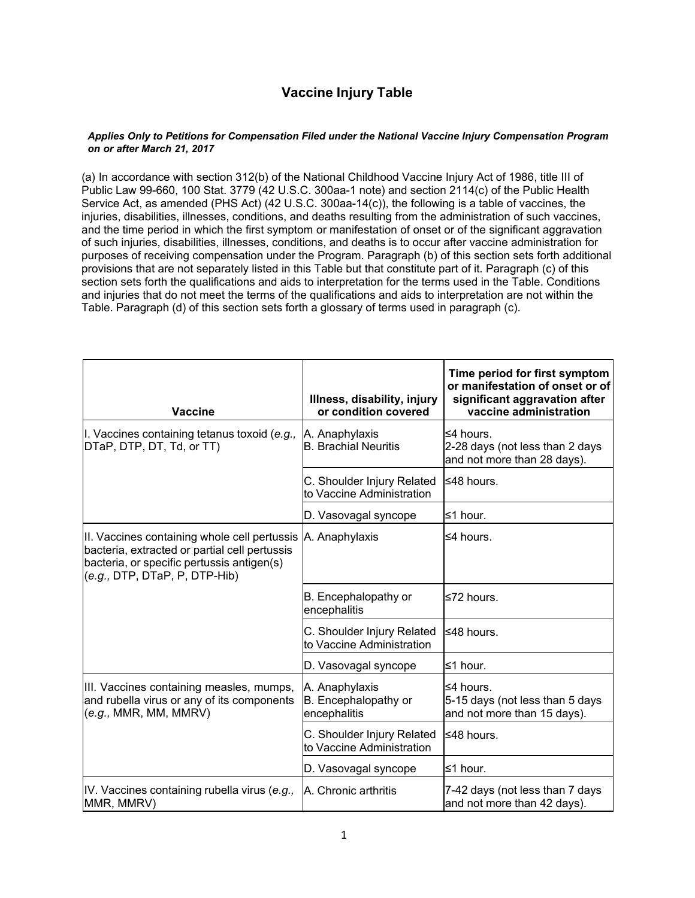# **Vaccine Injury Table**

## *Applies Only to Petitions for Compensation Filed under the National Vaccine Injury Compensation Program on or after March 21, 2017*

(a) In accordance with section 312(b) of the National Childhood Vaccine Injury Act of 1986, title III of Public Law 99-660, 100 Stat. 3779 (42 U.S.C. 300aa-1 note) and section 2114(c) of the Public Health Service Act, as amended (PHS Act) (42 U.S.C. 300aa-14(c)), the following is a table of vaccines, the injuries, disabilities, illnesses, conditions, and deaths resulting from the administration of such vaccines, and the time period in which the first symptom or manifestation of onset or of the significant aggravation of such injuries, disabilities, illnesses, conditions, and deaths is to occur after vaccine administration for purposes of receiving compensation under the Program. Paragraph (b) of this section sets forth additional provisions that are not separately listed in this Table but that constitute part of it. Paragraph (c) of this section sets forth the qualifications and aids to interpretation for the terms used in the Table. Conditions and injuries that do not meet the terms of the qualifications and aids to interpretation are not within the Table. Paragraph (d) of this section sets forth a glossary of terms used in paragraph (c).

| <b>Vaccine</b>                                                                                                                                                               | Illness, disability, injury<br>or condition covered     | Time period for first symptom<br>or manifestation of onset or of<br>significant aggravation after<br>vaccine administration |
|------------------------------------------------------------------------------------------------------------------------------------------------------------------------------|---------------------------------------------------------|-----------------------------------------------------------------------------------------------------------------------------|
| I. Vaccines containing tetanus toxoid (e.g.,<br>DTaP, DTP, DT, Td, or TT)                                                                                                    | A. Anaphylaxis<br><b>B. Brachial Neuritis</b>           | $\leq$ 4 hours.<br>2-28 days (not less than 2 days<br>and not more than 28 days).                                           |
|                                                                                                                                                                              | C. Shoulder Injury Related<br>to Vaccine Administration | ≤48 hours.                                                                                                                  |
|                                                                                                                                                                              | D. Vasovagal syncope                                    | ≤1 hour.                                                                                                                    |
| II. Vaccines containing whole cell pertussis<br>bacteria, extracted or partial cell pertussis<br>bacteria, or specific pertussis antigen(s)<br>(e.g., DTP, DTaP, P, DTP-Hib) | A. Anaphylaxis                                          | ≤4 hours.                                                                                                                   |
|                                                                                                                                                                              | B. Encephalopathy or<br>encephalitis                    | ≤72 hours.                                                                                                                  |
|                                                                                                                                                                              | C. Shoulder Injury Related<br>to Vaccine Administration | ≤48 hours.                                                                                                                  |
|                                                                                                                                                                              | D. Vasovagal syncope                                    | ≤1 hour.                                                                                                                    |
| III. Vaccines containing measles, mumps,<br>and rubella virus or any of its components<br>(e.g., MMR, MM, MMRV)                                                              | A. Anaphylaxis<br>B. Encephalopathy or<br>encephalitis  | $\leq$ 4 hours.<br>5-15 days (not less than 5 days<br>and not more than 15 days).                                           |
|                                                                                                                                                                              | C. Shoulder Injury Related<br>to Vaccine Administration | ≤48 hours.                                                                                                                  |
|                                                                                                                                                                              | D. Vasovagal syncope                                    | ≤1 hour.                                                                                                                    |
| IV. Vaccines containing rubella virus (e.g.,<br>MMR, MMRV)                                                                                                                   | A. Chronic arthritis                                    | 7-42 days (not less than 7 days<br>and not more than 42 days).                                                              |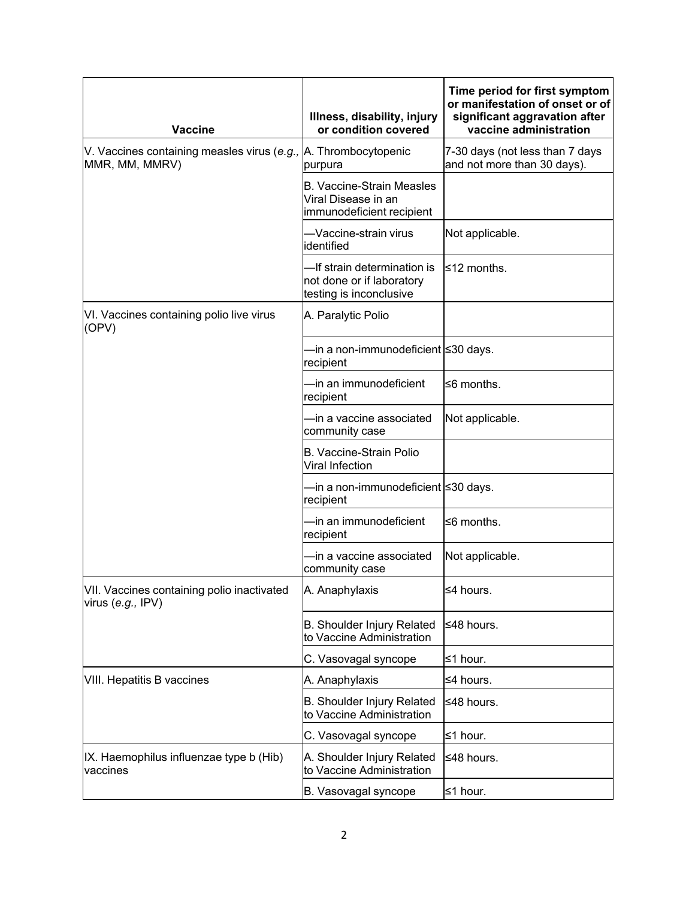| <b>Vaccine</b>                                                  | Illness, disability, injury<br>or condition covered                                  | Time period for first symptom<br>or manifestation of onset or of<br>significant aggravation after<br>vaccine administration |
|-----------------------------------------------------------------|--------------------------------------------------------------------------------------|-----------------------------------------------------------------------------------------------------------------------------|
| V. Vaccines containing measles virus (e.g.,<br>MMR, MM, MMRV)   | A. Thrombocytopenic<br>purpura                                                       | 7-30 days (not less than 7 days<br>and not more than 30 days).                                                              |
|                                                                 | <b>B. Vaccine-Strain Measles</b><br>Viral Disease in an<br>immunodeficient recipient |                                                                                                                             |
|                                                                 | -Vaccine-strain virus<br>lidentified                                                 | Not applicable.                                                                                                             |
|                                                                 | -If strain determination is<br>not done or if laboratory<br>testing is inconclusive  | $\leq$ 12 months.                                                                                                           |
| VI. Vaccines containing polio live virus<br>(OPV)               | A. Paralytic Polio                                                                   |                                                                                                                             |
|                                                                 | in a non-immunodeficient ≤30 days.<br>recipient                                      |                                                                                                                             |
|                                                                 | -in an immunodeficient<br>recipient                                                  | l≤6 months.                                                                                                                 |
|                                                                 | -in a vaccine associated<br>community case                                           | Not applicable.                                                                                                             |
|                                                                 | B. Vaccine-Strain Polio<br><b>Viral Infection</b>                                    |                                                                                                                             |
|                                                                 | –in a non-immunodeficient  ≤30 days.<br>recipient                                    |                                                                                                                             |
|                                                                 | -in an immunodeficient<br>recipient                                                  | ≤6 months.                                                                                                                  |
|                                                                 | -in a vaccine associated<br>community case                                           | Not applicable.                                                                                                             |
| VII. Vaccines containing polio inactivated<br>virus (e.g., IPV) | A. Anaphylaxis                                                                       | $\leq$ 4 hours.                                                                                                             |
|                                                                 | B. Shoulder Injury Related<br>to Vaccine Administration                              | ≤48 hours.                                                                                                                  |
|                                                                 | C. Vasovagal syncope                                                                 | ≤1 hour.                                                                                                                    |
| VIII. Hepatitis B vaccines                                      | A. Anaphylaxis                                                                       | $\leq$ 4 hours.                                                                                                             |
|                                                                 | B. Shoulder Injury Related<br>to Vaccine Administration                              | ≤48 hours.                                                                                                                  |
|                                                                 | C. Vasovagal syncope                                                                 | ≤1 hour.                                                                                                                    |
| IX. Haemophilus influenzae type b (Hib)<br>vaccines             | A. Shoulder Injury Related<br>to Vaccine Administration                              | l≤48 hours.                                                                                                                 |
|                                                                 | B. Vasovagal syncope                                                                 | ≤1 hour.                                                                                                                    |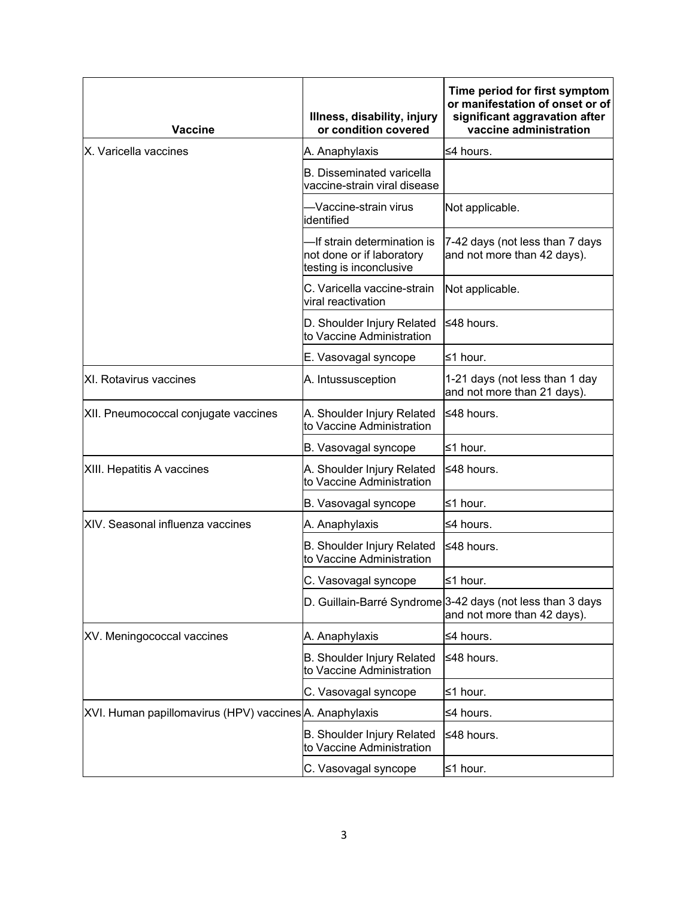| <b>Vaccine</b>                                          | Illness, disability, injury<br>or condition covered                                 | Time period for first symptom<br>or manifestation of onset or of<br>significant aggravation after<br>vaccine administration |
|---------------------------------------------------------|-------------------------------------------------------------------------------------|-----------------------------------------------------------------------------------------------------------------------------|
| X. Varicella vaccines                                   | A. Anaphylaxis                                                                      | ≤4 hours.                                                                                                                   |
|                                                         | B. Disseminated varicella<br>vaccine-strain viral disease                           |                                                                                                                             |
|                                                         | –Vaccine-strain virus<br>identified                                                 | Not applicable.                                                                                                             |
|                                                         | -If strain determination is<br>not done or if laboratory<br>testing is inconclusive | 7-42 days (not less than 7 days<br>and not more than 42 days).                                                              |
|                                                         | C. Varicella vaccine-strain<br>viral reactivation                                   | Not applicable.                                                                                                             |
|                                                         | D. Shoulder Injury Related<br>to Vaccine Administration                             | ≤48 hours.                                                                                                                  |
|                                                         | E. Vasovagal syncope                                                                | ≤1 hour.                                                                                                                    |
| XI. Rotavirus vaccines                                  | A. Intussusception                                                                  | 1-21 days (not less than 1 day<br>and not more than 21 days).                                                               |
| XII. Pneumococcal conjugate vaccines                    | A. Shoulder Injury Related<br>to Vaccine Administration                             | ≤48 hours.                                                                                                                  |
|                                                         | B. Vasovagal syncope                                                                | ≤1 hour.                                                                                                                    |
| XIII. Hepatitis A vaccines                              | A. Shoulder Injury Related<br>to Vaccine Administration                             | ≤48 hours.                                                                                                                  |
|                                                         | B. Vasovagal syncope                                                                | ≤1 hour.                                                                                                                    |
| XIV. Seasonal influenza vaccines                        | A. Anaphylaxis                                                                      | ≤4 hours.                                                                                                                   |
|                                                         | <b>B.</b> Shoulder Injury Related<br>to Vaccine Administration                      | ≤48 hours.                                                                                                                  |
|                                                         | C. Vasovagal syncope                                                                | ≤1 hour.                                                                                                                    |
|                                                         |                                                                                     | D. Guillain-Barré Syndrome 3-42 days (not less than 3 days<br>and not more than 42 days).                                   |
| XV. Meningococcal vaccines                              | A. Anaphylaxis                                                                      | $\leq$ 4 hours.                                                                                                             |
|                                                         | <b>B.</b> Shoulder Injury Related<br>to Vaccine Administration                      | ≤48 hours.                                                                                                                  |
|                                                         | C. Vasovagal syncope                                                                | ≤1 hour.                                                                                                                    |
| XVI. Human papillomavirus (HPV) vaccines A. Anaphylaxis |                                                                                     | $\leq$ 4 hours.                                                                                                             |
|                                                         | <b>B.</b> Shoulder Injury Related<br>to Vaccine Administration                      | ≤48 hours.                                                                                                                  |
|                                                         | C. Vasovagal syncope                                                                | ≤1 hour.                                                                                                                    |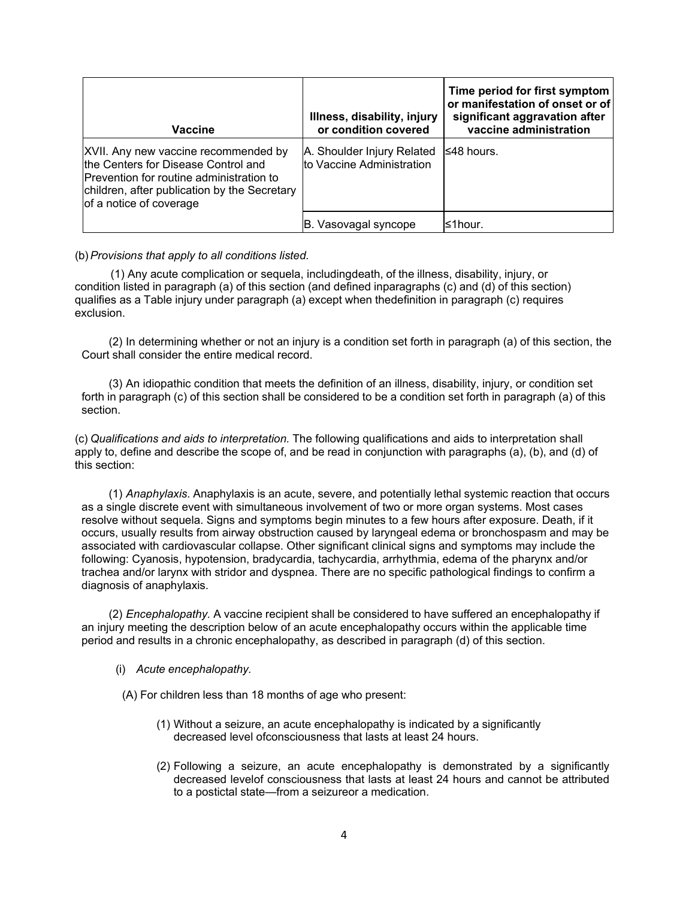| Vaccine                                                                                                                                                                                                   | Illness, disability, injury<br>or condition covered     | Time period for first symptom<br>or manifestation of onset or of<br>significant aggravation after<br>vaccine administration |
|-----------------------------------------------------------------------------------------------------------------------------------------------------------------------------------------------------------|---------------------------------------------------------|-----------------------------------------------------------------------------------------------------------------------------|
| XVII. Any new vaccine recommended by<br>the Centers for Disease Control and<br><b>Prevention for routine administration to</b><br>children, after publication by the Secretary<br>of a notice of coverage | A. Shoulder Injury Related<br>to Vaccine Administration | I≤48 hours.                                                                                                                 |
|                                                                                                                                                                                                           | B. Vasovagal syncope                                    | l≤1hour.                                                                                                                    |

## (b)*Provisions that apply to all conditions listed.*

(1) Any acute complication or sequela, includingdeath, of the illness, disability, injury, or condition listed in paragraph (a) of this section (and defined inparagraphs (c) and (d) of this section) qualifies as a Table injury under paragraph (a) except when thedefinition in paragraph (c) requires exclusion.

(2) In determining whether or not an injury is a condition set forth in paragraph (a) of this section, the Court shall consider the entire medical record.

(3) An idiopathic condition that meets the definition of an illness, disability, injury, or condition set forth in paragraph (c) of this section shall be considered to be a condition set forth in paragraph (a) of this section.

(c) *Qualifications and aids to interpretation.* The following qualifications and aids to interpretation shall apply to, define and describe the scope of, and be read in conjunction with paragraphs (a), (b), and (d) of this section:

(1) *Anaphylaxis.* Anaphylaxis is an acute, severe, and potentially lethal systemic reaction that occurs as a single discrete event with simultaneous involvement of two or more organ systems. Most cases resolve without sequela. Signs and symptoms begin minutes to a few hours after exposure. Death, if it occurs, usually results from airway obstruction caused by laryngeal edema or bronchospasm and may be associated with cardiovascular collapse. Other significant clinical signs and symptoms may include the following: Cyanosis, hypotension, bradycardia, tachycardia, arrhythmia, edema of the pharynx and/or trachea and/or larynx with stridor and dyspnea. There are no specific pathological findings to confirm a diagnosis of anaphylaxis.

(2) *Encephalopathy.* A vaccine recipient shall be considered to have suffered an encephalopathy if an injury meeting the description below of an acute encephalopathy occurs within the applicable time period and results in a chronic encephalopathy, as described in paragraph (d) of this section.

(i) *Acute encephalopathy.*

(A) For children less than 18 months of age who present:

- (1) Without a seizure, an acute encephalopathy is indicated by a significantly decreased level ofconsciousness that lasts at least 24 hours.
- (2) Following a seizure, an acute encephalopathy is demonstrated by a significantly decreased levelof consciousness that lasts at least 24 hours and cannot be attributed to a postictal state—from a seizureor a medication.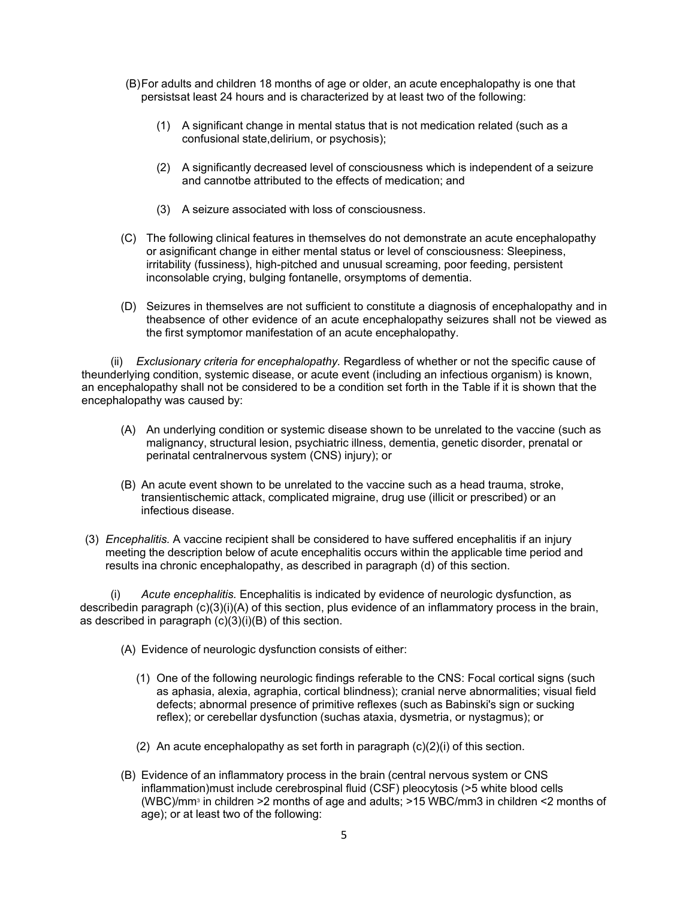- (B)For adults and children 18 months of age or older, an acute encephalopathy is one that persistsat least 24 hours and is characterized by at least two of the following:
	- (1) A significant change in mental status that is not medication related (such as a confusional state,delirium, or psychosis);
	- (2) A significantly decreased level of consciousness which is independent of a seizure and cannotbe attributed to the effects of medication; and
	- (3) A seizure associated with loss of consciousness.
- (C) The following clinical features in themselves do not demonstrate an acute encephalopathy or a significant change in either mental status or level of consciousness: Sleepiness, irritability (fussiness), high-pitched and unusual screaming, poor feeding, persistent inconsolable crying, bulging fontanelle, orsymptoms of dementia.
- (D) Seizures in themselves are not sufficient to constitute a diagnosis of encephalopathy and in theabsence of other evidence of an acute encephalopathy seizures shall not be viewed as the first symptomor manifestation of an acute encephalopathy.

(ii) *Exclusionary criteria for encephalopathy.* Regardless of whether or not the specific cause of theunderlying condition, systemic disease, or acute event (including an infectious organism) is known, an encephalopathy shall not be considered to be a condition set forth in the Table if it is shown that the encephalopathy was caused by:

- (A) An underlying condition or systemic disease shown to be unrelated to the vaccine (such as malignancy, structural lesion, psychiatric illness, dementia, genetic disorder, prenatal or perinatal centralnervous system (CNS) injury); or
- (B) An acute event shown to be unrelated to the vaccine such as a head trauma, stroke, transientischemic attack, complicated migraine, drug use (illicit or prescribed) or an infectious disease.
- (3) *Encephalitis.* A vaccine recipient shall be considered to have suffered encephalitis if an injury meeting the description below of acute encephalitis occurs within the applicable time period and results ina chronic encephalopathy, as described in paragraph (d) of this section.

(i) *Acute encephalitis.* Encephalitis is indicated by evidence of neurologic dysfunction, as describedin paragraph (c)(3)(i)(A) of this section, plus evidence of an inflammatory process in the brain, as described in paragraph (c)(3)(i)(B) of this section.

- (A) Evidence of neurologic dysfunction consists of either:
	- (1) One of the following neurologic findings referable to the CNS: Focal cortical signs (such as aphasia, alexia, agraphia, cortical blindness); cranial nerve abnormalities; visual field defects; abnormal presence of primitive reflexes (such as Babinski's sign or sucking reflex); or cerebellar dysfunction (suchas ataxia, dysmetria, or nystagmus); or
	- (2) An acute encephalopathy as set forth in paragraph (c)(2)(i) of this section.
- (B) Evidence of an inflammatory process in the brain (central nervous system or CNS inflammation)must include cerebrospinal fluid (CSF) pleocytosis (>5 white blood cells (WBC)/mm3 in children >2 months of age and adults; >15 WBC/mm3 in children <2 months of age); or at least two of the following: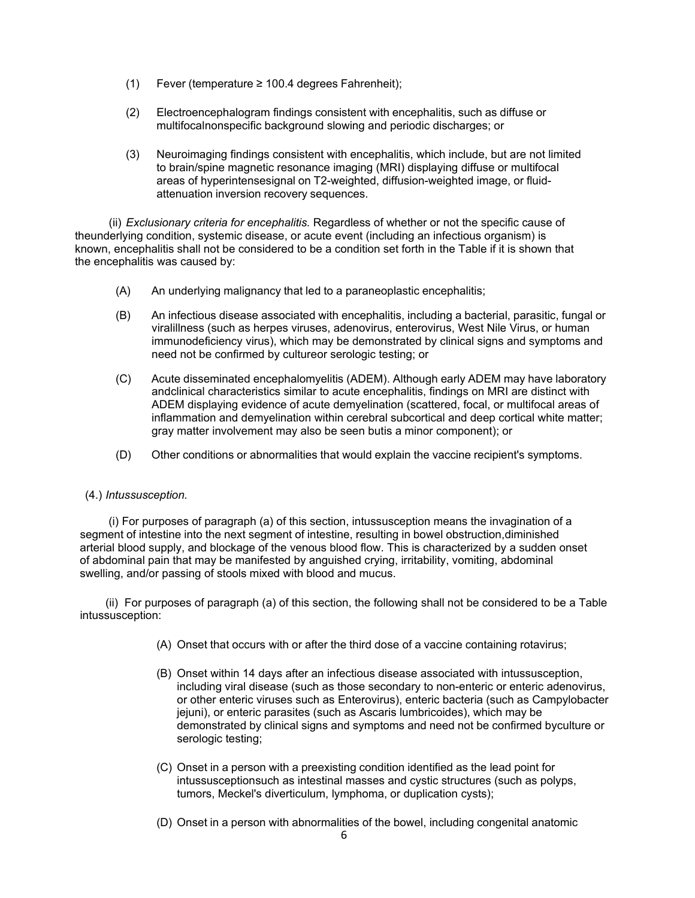- (1) Fever (temperature  $\geq$  100.4 degrees Fahrenheit);
- (2) Electroencephalogram findings consistent with encephalitis, such as diffuse or multifocalnonspecific background slowing and periodic discharges; or
- (3) Neuroimaging findings consistent with encephalitis, which include, but are not limited to brain/spine magnetic resonance imaging (MRI) displaying diffuse or multifocal areas of hyperintensesignal on T2-weighted, diffusion-weighted image, or fluidattenuation inversion recovery sequences.

(ii) *Exclusionary criteria for encephalitis.* Regardless of whether or not the specific cause of theunderlying condition, systemic disease, or acute event (including an infectious organism) is known, encephalitis shall not be considered to be a condition set forth in the Table if it is shown that the encephalitis was caused by:

- (A) An underlying malignancy that led to a paraneoplastic encephalitis;
- (B) An infectious disease associated with encephalitis, including a bacterial, parasitic, fungal or viralillness (such as herpes viruses, adenovirus, enterovirus, West Nile Virus, or human immunodeficiency virus), which may be demonstrated by clinical signs and symptoms and need not be confirmed by cultureor serologic testing; or
- (C) Acute disseminated encephalomyelitis (ADEM). Although early ADEM may have laboratory andclinical characteristics similar to acute encephalitis, findings on MRI are distinct with ADEM displaying evidence of acute demyelination (scattered, focal, or multifocal areas of inflammation and demyelination within cerebral subcortical and deep cortical white matter; gray matter involvement may also be seen butis a minor component); or
- (D) Other conditions or abnormalities that would explain the vaccine recipient's symptoms.

## (4.) *Intussusception.*

(i) For purposes of paragraph (a) of this section, intussusception means the invagination of a segment of intestine into the next segment of intestine, resulting in bowel obstruction,diminished arterial blood supply, and blockage of the venous blood flow. This is characterized by a sudden onset of abdominal pain that may be manifested by anguished crying, irritability, vomiting, abdominal swelling, and/or passing of stools mixed with blood and mucus.

(ii) For purposes of paragraph (a) of this section, the following shall not be considered to be a Table intussusception:

- (A) Onset that occurs with or after the third dose of a vaccine containing rotavirus;
- (B) Onset within 14 days after an infectious disease associated with intussusception, including viral disease (such as those secondary to non-enteric or enteric adenovirus, or other enteric viruses such as Enterovirus), enteric bacteria (such as Campylobacter jejuni), or enteric parasites (such as Ascaris lumbricoides), which may be demonstrated by clinical signs and symptoms and need not be confirmed byculture or serologic testing;
- (C) Onset in a person with a preexisting condition identified as the lead point for intussusceptionsuch as intestinal masses and cystic structures (such as polyps, tumors, Meckel's diverticulum, lymphoma, or duplication cysts);
- (D) Onset in a person with abnormalities of the bowel, including congenital anatomic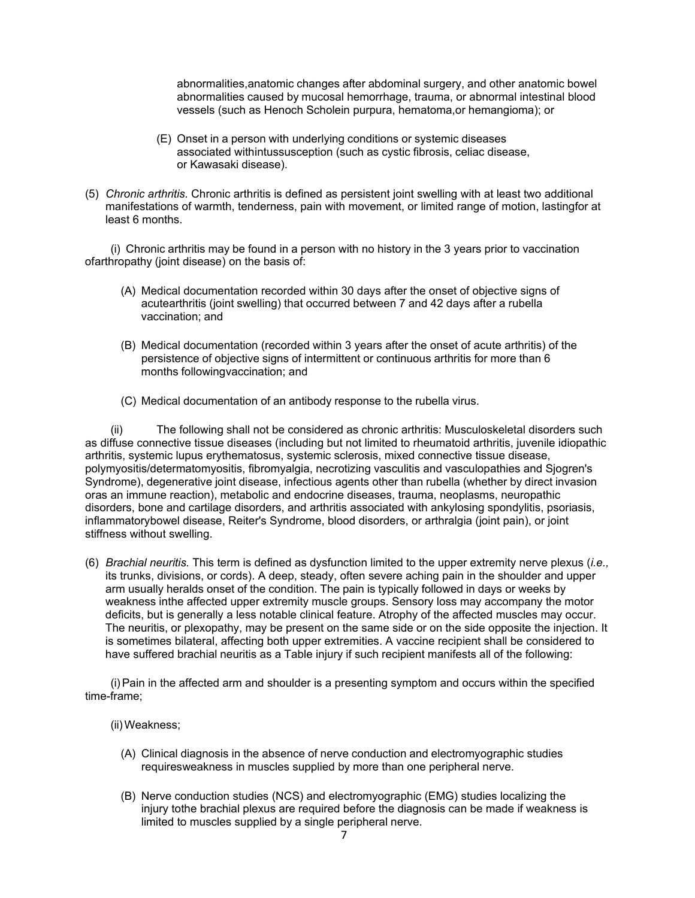abnormalities,anatomic changes after abdominal surgery, and other anatomic bowel abnormalities caused by mucosal hemorrhage, trauma, or abnormal intestinal blood vessels (such as Henoch Scholein purpura, hematoma,or hemangioma); or

- (E) Onset in a person with underlying conditions or systemic diseases associated withintussusception (such as cystic fibrosis, celiac disease, or Kawasaki disease).
- (5) *Chronic arthritis.* Chronic arthritis is defined as persistent joint swelling with at least two additional manifestations of warmth, tenderness, pain with movement, or limited range of motion, lastingfor at least 6 months.

(i) Chronic arthritis may be found in a person with no history in the 3 years prior to vaccination ofarthropathy (joint disease) on the basis of:

- (A) Medical documentation recorded within 30 days after the onset of objective signs of acutearthritis (joint swelling) that occurred between 7 and 42 days after a rubella vaccination; and
- (B) Medical documentation (recorded within 3 years after the onset of acute arthritis) of the persistence of objective signs of intermittent or continuous arthritis for more than 6 months followingvaccination; and
- (C) Medical documentation of an antibody response to the rubella virus.

(ii) The following shall not be considered as chronic arthritis: Musculoskeletal disorders such as diffuse connective tissue diseases (including but not limited to rheumatoid arthritis, juvenile idiopathic arthritis, systemic lupus erythematosus, systemic sclerosis, mixed connective tissue disease, polymyositis/determatomyositis, fibromyalgia, necrotizing vasculitis and vasculopathies and Sjogren's Syndrome), degenerative joint disease, infectious agents other than rubella (whether by direct invasion oras an immune reaction), metabolic and endocrine diseases, trauma, neoplasms, neuropathic disorders, bone and cartilage disorders, and arthritis associated with ankylosing spondylitis, psoriasis, inflammatorybowel disease, Reiter's Syndrome, blood disorders, or arthralgia (joint pain), or joint stiffness without swelling.

(6) *Brachial neuritis.* This term is defined as dysfunction limited to the upper extremity nerve plexus (*i.e.,*  its trunks, divisions, or cords). A deep, steady, often severe aching pain in the shoulder and upper arm usually heralds onset of the condition. The pain is typically followed in days or weeks by weakness inthe affected upper extremity muscle groups. Sensory loss may accompany the motor deficits, but is generally a less notable clinical feature. Atrophy of the affected muscles may occur. The neuritis, or plexopathy, may be present on the same side or on the side opposite the injection. It is sometimes bilateral, affecting both upper extremities. A vaccine recipient shall be considered to have suffered brachial neuritis as a Table injury if such recipient manifests all of the following:

(i)Pain in the affected arm and shoulder is a presenting symptom and occurs within the specified time-frame;

(ii)Weakness;

- (A) Clinical diagnosis in the absence of nerve conduction and electromyographic studies requiresweakness in muscles supplied by more than one peripheral nerve.
- (B) Nerve conduction studies (NCS) and electromyographic (EMG) studies localizing the injury tothe brachial plexus are required before the diagnosis can be made if weakness is limited to muscles supplied by a single peripheral nerve.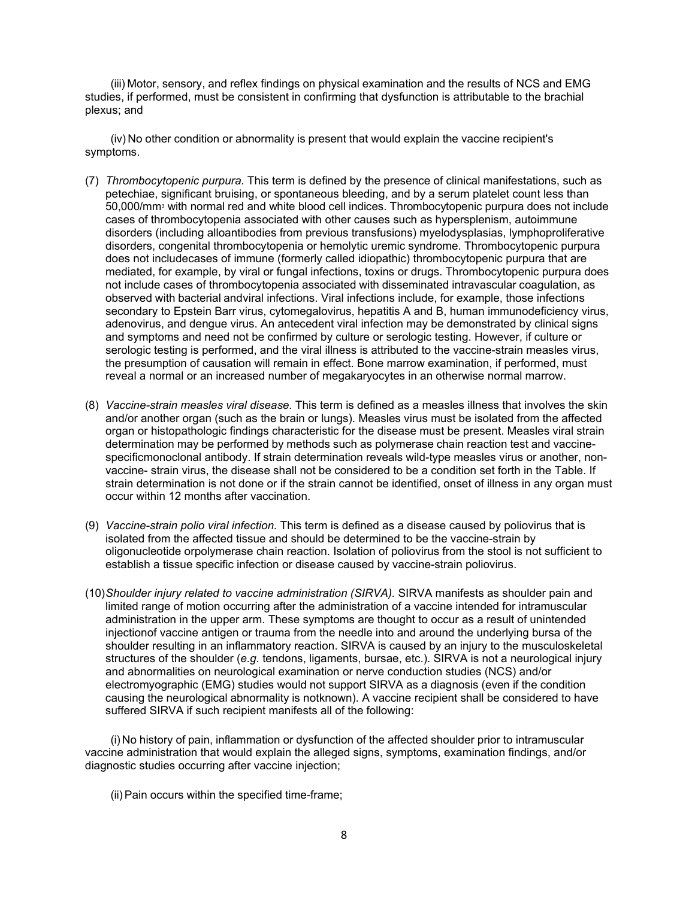(iii) Motor, sensory, and reflex findings on physical examination and the results of NCS and EMG studies, if performed, must be consistent in confirming that dysfunction is attributable to the brachial plexus; and

(iv) No other condition or abnormality is present that would explain the vaccine recipient's symptoms.

- (7) *Thrombocytopenic purpura.* This term is defined by the presence of clinical manifestations, such as petechiae, significant bruising, or spontaneous bleeding, and by a serum platelet count less than 50,000/mm3 with normal red and white blood cell indices. Thrombocytopenic purpura does not include cases of thrombocytopenia associated with other causes such as hypersplenism, autoimmune disorders (including alloantibodies from previous transfusions) myelodysplasias, lymphoproliferative disorders, congenital thrombocytopenia or hemolytic uremic syndrome. Thrombocytopenic purpura does not includecases of immune (formerly called idiopathic) thrombocytopenic purpura that are mediated, for example, by viral or fungal infections, toxins or drugs. Thrombocytopenic purpura does not include cases of thrombocytopenia associated with disseminated intravascular coagulation, as observed with bacterial andviral infections. Viral infections include, for example, those infections secondary to Epstein Barr virus, cytomegalovirus, hepatitis A and B, human immunodeficiency virus, adenovirus, and dengue virus. An antecedent viral infection may be demonstrated by clinical signs and symptoms and need not be confirmed by culture or serologic testing. However, if culture or serologic testing is performed, and the viral illness is attributed to the vaccine-strain measles virus, the presumption of causation will remain in effect. Bone marrow examination, if performed, must reveal a normal or an increased number of megakaryocytes in an otherwise normal marrow.
- (8) *Vaccine-strain measles viral disease.* This term is defined as a measles illness that involves the skin and/or another organ (such as the brain or lungs). Measles virus must be isolated from the affected organ or histopathologic findings characteristic for the disease must be present. Measles viral strain determination may be performed by methods such as polymerase chain reaction test and vaccinespecificmonoclonal antibody. If strain determination reveals wild-type measles virus or another, nonvaccine- strain virus, the disease shall not be considered to be a condition set forth in the Table. If strain determination is not done or if the strain cannot be identified, onset of illness in any organ must occur within 12 months after vaccination.
- (9) *Vaccine-strain polio viral infection.* This term is defined as a disease caused by poliovirus that is isolated from the affected tissue and should be determined to be the vaccine-strain by oligonucleotide orpolymerase chain reaction. Isolation of poliovirus from the stool is not sufficient to establish a tissue specific infection or disease caused by vaccine-strain poliovirus.
- (10)*Shoulder injury related to vaccine administration (SIRVA).* SIRVA manifests as shoulder pain and limited range of motion occurring after the administration of a vaccine intended for intramuscular administration in the upper arm. These symptoms are thought to occur as a result of unintended injectionof vaccine antigen or trauma from the needle into and around the underlying bursa of the shoulder resulting in an inflammatory reaction. SIRVA is caused by an injury to the musculoskeletal structures of the shoulder (*e.g.* tendons, ligaments, bursae, etc.). SIRVA is not a neurological injury and abnormalities on neurological examination or nerve conduction studies (NCS) and/or electromyographic (EMG) studies would not support SIRVA as a diagnosis (even if the condition causing the neurological abnormality is notknown). A vaccine recipient shall be considered to have suffered SIRVA if such recipient manifests all of the following:

(i) No history of pain, inflammation or dysfunction of the affected shoulder prior to intramuscular vaccine administration that would explain the alleged signs, symptoms, examination findings, and/or diagnostic studies occurring after vaccine injection;

(ii)Pain occurs within the specified time-frame;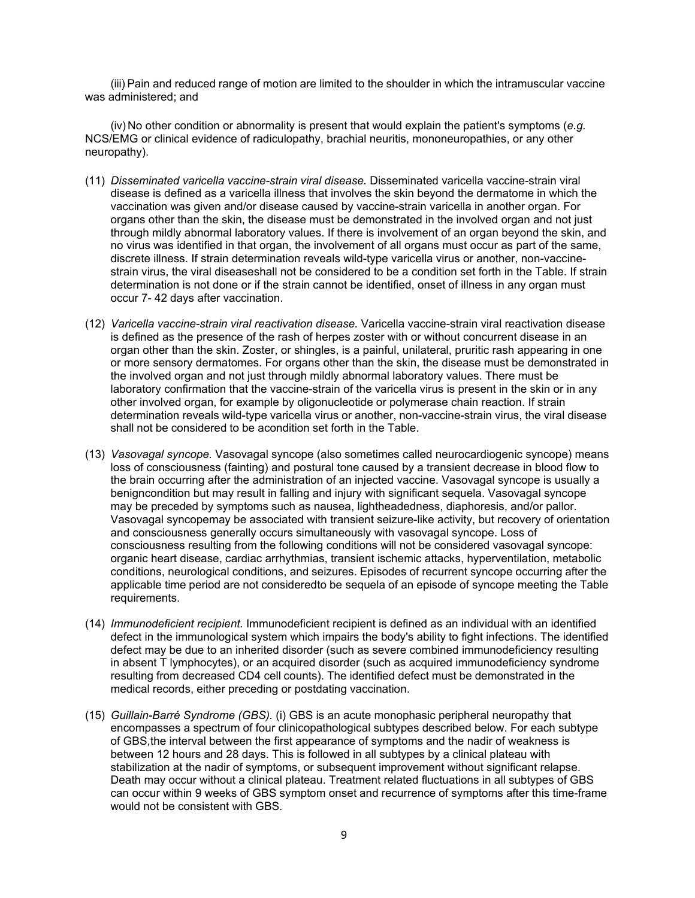(iii) Pain and reduced range of motion are limited to the shoulder in which the intramuscular vaccine was administered; and

(iv) No other condition or abnormality is present that would explain the patient's symptoms (*e.g.* NCS/EMG or clinical evidence of radiculopathy, brachial neuritis, mononeuropathies, or any other neuropathy).

- (11) *Disseminated varicella vaccine-strain viral disease.* Disseminated varicella vaccine-strain viral disease is defined as a varicella illness that involves the skin beyond the dermatome in which the vaccination was given and/or disease caused by vaccine-strain varicella in another organ. For organs other than the skin, the disease must be demonstrated in the involved organ and not just through mildly abnormal laboratory values. If there is involvement of an organ beyond the skin, and no virus was identified in that organ, the involvement of all organs must occur as part of the same, discrete illness. If strain determination reveals wild-type varicella virus or another, non-vaccinestrain virus, the viral diseaseshall not be considered to be a condition set forth in the Table. If strain determination is not done or if the strain cannot be identified, onset of illness in any organ must occur 7- 42 days after vaccination.
- (12) *Varicella vaccine-strain viral reactivation disease.* Varicella vaccine-strain viral reactivation disease is defined as the presence of the rash of herpes zoster with or without concurrent disease in an organ other than the skin. Zoster, or shingles, is a painful, unilateral, pruritic rash appearing in one or more sensory dermatomes. For organs other than the skin, the disease must be demonstrated in the involved organ and not just through mildly abnormal laboratory values. There must be laboratory confirmation that the vaccine-strain of the varicella virus is present in the skin or in any other involved organ, for example by oligonucleotide or polymerase chain reaction. If strain determination reveals wild-type varicella virus or another, non-vaccine-strain virus, the viral disease shall not be considered to be acondition set forth in the Table.
- (13) *Vasovagal syncope.* Vasovagal syncope (also sometimes called neurocardiogenic syncope) means loss of consciousness (fainting) and postural tone caused by a transient decrease in blood flow to the brain occurring after the administration of an injected vaccine. Vasovagal syncope is usually a benign condition but may result in falling and injury with significant sequela. Vasovagal syncope may be preceded by symptoms such as nausea, lightheadedness, diaphoresis, and/or pallor. Vasovagal syncopemay be associated with transient seizure-like activity, but recovery of orientation and consciousness generally occurs simultaneously with vasovagal syncope. Loss of consciousness resulting from the following conditions will not be considered vasovagal syncope: organic heart disease, cardiac arrhythmias, transient ischemic attacks, hyperventilation, metabolic conditions, neurological conditions, and seizures. Episodes of recurrent syncope occurring after the applicable time period are not consideredto be sequela of an episode of syncope meeting the Table requirements.
- (14) *Immunodeficient recipient.* Immunodeficient recipient is defined as an individual with an identified defect in the immunological system which impairs the body's ability to fight infections. The identified defect may be due to an inherited disorder (such as severe combined immunodeficiency resulting in absent T lymphocytes), or an acquired disorder (such as acquired immunodeficiency syndrome resulting from decreased CD4 cell counts). The identified defect must be demonstrated in the medical records, either preceding or postdating vaccination.
- (15) *Guillain-Barré Syndrome (GBS).* (i) GBS is an acute monophasic peripheral neuropathy that encompasses a spectrum of four clinicopathological subtypes described below. For each subtype of GBS,the interval between the first appearance of symptoms and the nadir of weakness is between 12 hours and 28 days. This is followed in all subtypes by a clinical plateau with stabilization at the nadir of symptoms, or subsequent improvement without significant relapse. Death may occur without a clinical plateau. Treatment related fluctuations in all subtypes of GBS can occur within 9 weeks of GBS symptom onset and recurrence of symptoms after this time-frame would not be consistent with GBS.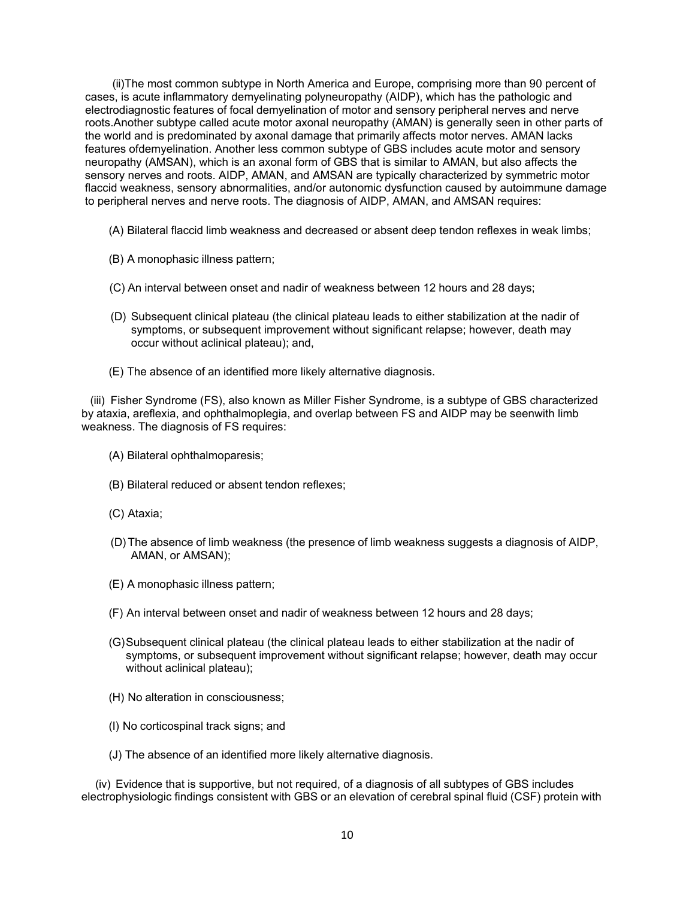(ii)The most common subtype in North America and Europe, comprising more than 90 percent of cases, is acute inflammatory demyelinating polyneuropathy (AIDP), which has the pathologic and electrodiagnostic features of focal demyelination of motor and sensory peripheral nerves and nerve roots.Another subtype called acute motor axonal neuropathy (AMAN) is generally seen in other parts of the world and is predominated by axonal damage that primarily affects motor nerves. AMAN lacks features ofdemyelination. Another less common subtype of GBS includes acute motor and sensory neuropathy (AMSAN), which is an axonal form of GBS that is similar to AMAN, but also affects the sensory nerves and roots. AIDP, AMAN, and AMSAN are typically characterized by symmetric motor flaccid weakness, sensory abnormalities, and/or autonomic dysfunction caused by autoimmune damage to peripheral nerves and nerve roots. The diagnosis of AIDP, AMAN, and AMSAN requires:

- (A) Bilateral flaccid limb weakness and decreased or absent deep tendon reflexes in weak limbs;
- (B) A monophasic illness pattern;
- (C) An interval between onset and nadir of weakness between 12 hours and 28 days;
- (D) Subsequent clinical plateau (the clinical plateau leads to either stabilization at the nadir of symptoms, or subsequent improvement without significant relapse; however, death may occur without aclinical plateau); and,
- (E) The absence of an identified more likely alternative diagnosis.

(iii) Fisher Syndrome (FS), also known as Miller Fisher Syndrome, is a subtype of GBS characterized by ataxia, areflexia, and ophthalmoplegia, and overlap between FS and AIDP may be seenwith limb weakness. The diagnosis of FS requires:

- (A) Bilateral ophthalmoparesis;
- (B) Bilateral reduced or absent tendon reflexes;
- (C) Ataxia;
- (D) The absence of limb weakness (the presence of limb weakness suggests a diagnosis of AIDP, AMAN, or AMSAN);
- (E) A monophasic illness pattern;
- (F) An interval between onset and nadir of weakness between 12 hours and 28 days;
- (G)Subsequent clinical plateau (the clinical plateau leads to either stabilization at the nadir of symptoms, or subsequent improvement without significant relapse; however, death may occur without aclinical plateau);
- (H) No alteration in consciousness;
- (I) No corticospinal track signs; and
- (J) The absence of an identified more likely alternative diagnosis.

(iv) Evidence that is supportive, but not required, of a diagnosis of all subtypes of GBS includes electrophysiologic findings consistent with GBS or an elevation of cerebral spinal fluid (CSF) protein with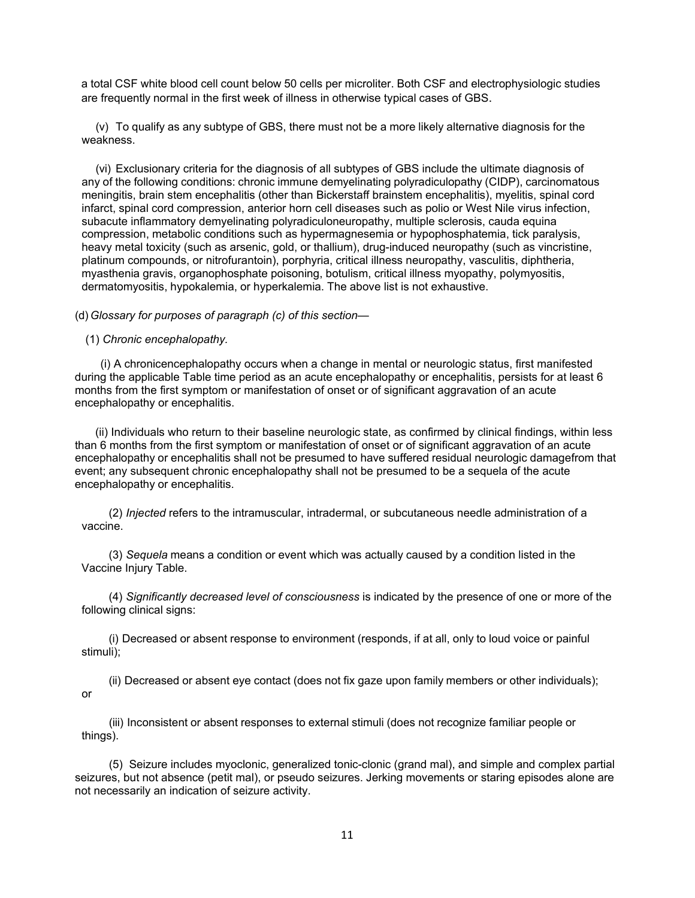a total CSF white blood cell count below 50 cells per microliter. Both CSF and electrophysiologic studies are frequently normal in the first week of illness in otherwise typical cases of GBS.

(v) To qualify as any subtype of GBS, there must not be a more likely alternative diagnosis for the weakness.

(vi) Exclusionary criteria for the diagnosis of all subtypes of GBS include the ultimate diagnosis of any of the following conditions: chronic immune demyelinating polyradiculopathy (CIDP), carcinomatous meningitis, brain stem encephalitis (other than Bickerstaff brainstem encephalitis), myelitis, spinal cord infarct, spinal cord compression, anterior horn cell diseases such as polio or West Nile virus infection, subacute inflammatory demyelinating polyradiculoneuropathy, multiple sclerosis, cauda equina compression, metabolic conditions such as hypermagnesemia or hypophosphatemia, tick paralysis, heavy metal toxicity (such as arsenic, gold, or thallium), drug-induced neuropathy (such as vincristine, platinum compounds, or nitrofurantoin), porphyria, critical illness neuropathy, vasculitis, diphtheria, myasthenia gravis, organophosphate poisoning, botulism, critical illness myopathy, polymyositis, dermatomyositis, hypokalemia, or hyperkalemia. The above list is not exhaustive.

## (d)*Glossary for purposes of paragraph (c) of this section*—

#### (1) *Chronic encephalopathy.*

(i) A chronicencephalopathy occurs when a change in mental or neurologic status, first manifested during the applicable Table time period as an acute encephalopathy or encephalitis, persists for at least 6 months from the first symptom or manifestation of onset or of significant aggravation of an acute encephalopathy or encephalitis.

(ii) Individuals who return to their baseline neurologic state, as confirmed by clinical findings, within less than 6 months from the first symptom or manifestation of onset or of significant aggravation of an acute encephalopathy or encephalitis shall not be presumed to have suffered residual neurologic damagefrom that event; any subsequent chronic encephalopathy shall not be presumed to be a sequela of the acute encephalopathy or encephalitis.

(2) *Injected* refers to the intramuscular, intradermal, or subcutaneous needle administration of a vaccine.

(3) *Sequela* means a condition or event which was actually caused by a condition listed in the Vaccine Injury Table.

(4) *Significantly decreased level of consciousness* is indicated by the presence of one or more of the following clinical signs:

(i) Decreased or absent response to environment (responds, if at all, only to loud voice or painful stimuli);

(ii) Decreased or absent eye contact (does not fix gaze upon family members or other individuals); or

(iii) Inconsistent or absent responses to external stimuli (does not recognize familiar people or things).

(5) Seizure includes myoclonic, generalized tonic-clonic (grand mal), and simple and complex partial seizures, but not absence (petit mal), or pseudo seizures. Jerking movements or staring episodes alone are not necessarily an indication of seizure activity.